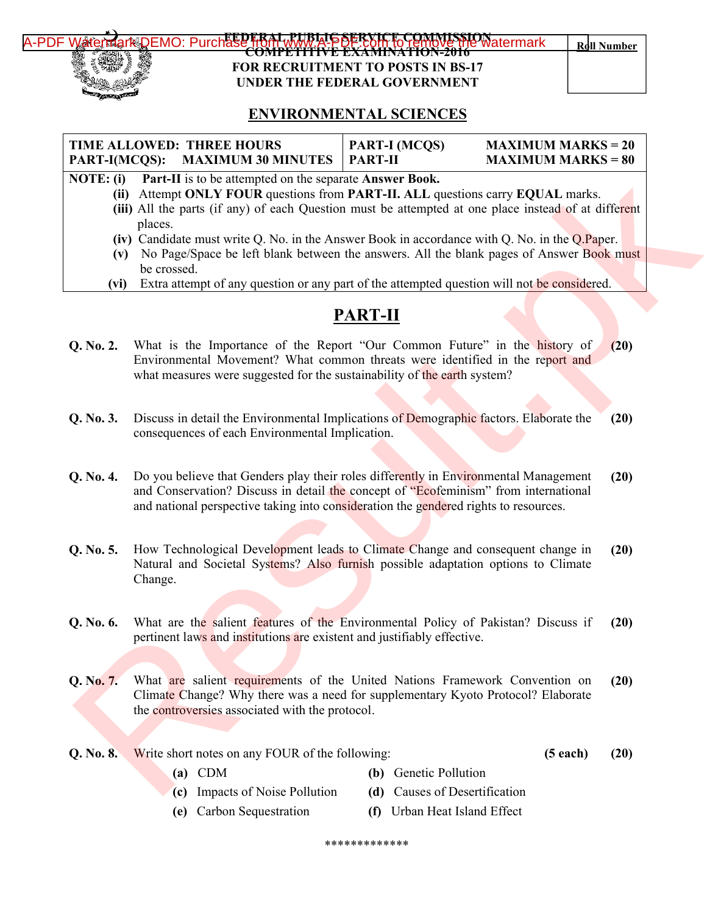

## **FUBLIS SERVICE COMMISSION**<br>FWW.A-PSFRYICE COMMISSION **COMPETITIVE EXAMINATION-2016 FOR RECRUITMENT TO POSTS IN BS-17 UNDER THE FEDERAL GOVERNMENT**

## **ENVIRONMENTAL SCIENCES**

## **TIME ALLOWED: THREE HOURS PART-I(MCQS): MAXIMUM 30 MINUTES PART-I (MCQS) MAXIMUM MARKS = 20 PART-II MAXIMUM MARKS = 80**

- **NOTE: (i) Part-II** is to be attempted on the separate **Answer Book.**
	- **(ii)** Attempt **ONLY FOUR** questions from **PART-II. ALL** questions carry **EQUAL** marks.
	- **(iii)** All the parts (if any) of each Question must be attempted at one place instead of at different places.
	- **(iv)** Candidate must write Q. No. in the Answer Book in accordance with Q. No. in the Q.Paper.
	- **(v)** No Page/Space be left blank between the answers. All the blank pages of Answer Book must be crossed.
	- **(vi)** Extra attempt of any question or any part of the attempted question will not be considered.

## **PART-II**

- **Q. No. 2.** What is the Importance of the Report "Our Common Future" in the history of Environmental Movement? What common threats were identified in the report and what measures were suggested for the sustainability of the earth system? **(20)**
- **Q. No. 3.** Discuss in detail the Environmental Implications of Demographic factors. Elaborate the consequences of each Environmental Implication. **(20)**
- **Q. No. 4.** Do you believe that Genders play their roles differently in Environmental Management and Conservation? Discuss in detail the concept of "Ecofeminism" from international and national perspective taking into consideration the gendered rights to resources. **(20)**
- **Q. No. 5.** How Technological Development leads to Climate Change and consequent change in Natural and Societal Systems? Also furnish possible adaptation options to Climate Change. **(20)**
- **Q. No. 6.** What are the salient features of the Environmental Policy of Pakistan? Discuss if pertinent laws and institutions are existent and justifiably effective. **(20)**
- **Q. No. 7.** What are salient requirements of the United Nations Framework Convention on Climate Change? Why there was a need for supplementary Kyoto Protocol? Elaborate the controversies associated with the protocol. **(20)** EXAMENT (19) Although the Theorem of State 19) and Conservation 200 Change (0.1 November 19) and Conservation 200 Change (19) Although the China of the University Results. (19) although the State 19) and Conservation of t
- **Q. No. 8.** Write short notes on any FOUR of the following: **(5 each) (20)**
	- **(a)** CDM **(b)** Genetic Pollution
	- **(c)** Impacts of Noise Pollution **(d)** Causes of Desertification
	- **(e)** Carbon Sequestration **(f)** Urban Heat Island Effect

\*\*\*\*\*\*\*\*\*\*\*\*\*